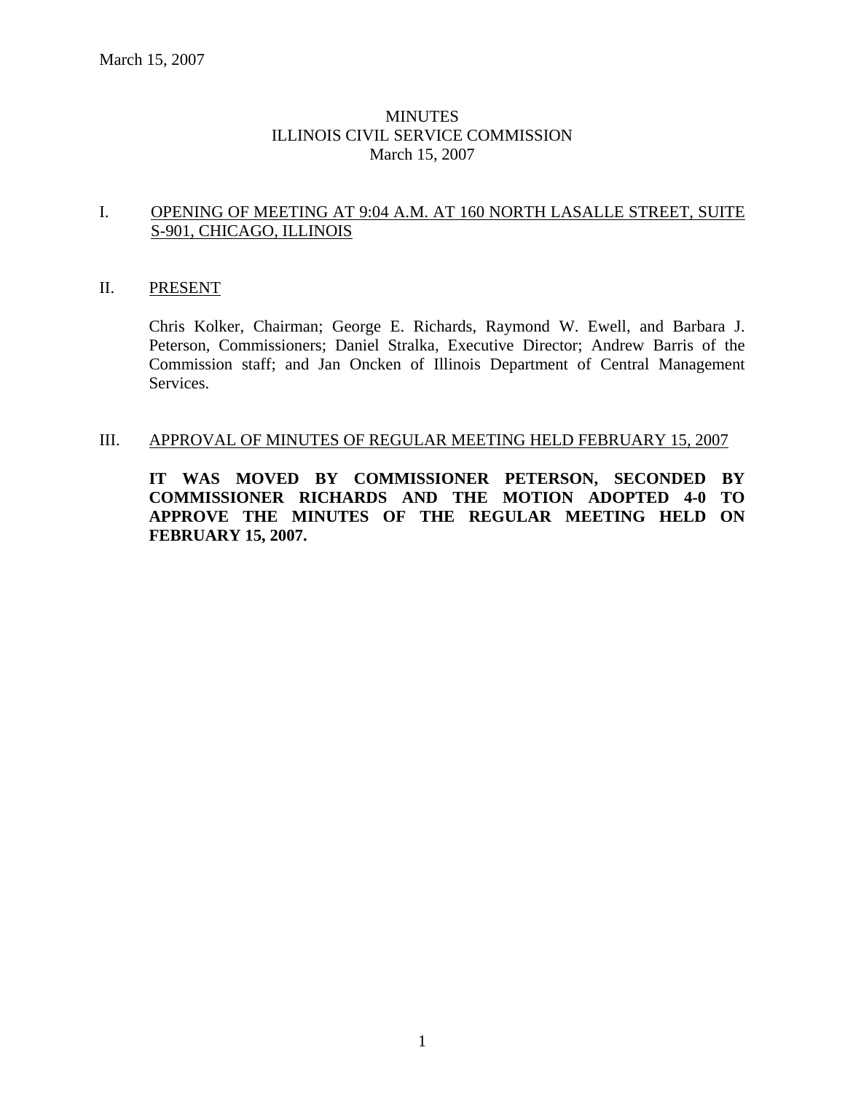### **MINUTES** ILLINOIS CIVIL SERVICE COMMISSION March 15, 2007

#### I. OPENING OF MEETING AT 9:04 A.M. AT 160 NORTH LASALLE STREET, SUITE S-901, CHICAGO, ILLINOIS

#### II. PRESENT

Chris Kolker, Chairman; George E. Richards, Raymond W. Ewell, and Barbara J. Peterson, Commissioners; Daniel Stralka, Executive Director; Andrew Barris of the Commission staff; and Jan Oncken of Illinois Department of Central Management Services.

#### III. APPROVAL OF MINUTES OF REGULAR MEETING HELD FEBRUARY 15, 2007

**IT WAS MOVED BY COMMISSIONER PETERSON, SECONDED BY COMMISSIONER RICHARDS AND THE MOTION ADOPTED 4-0 TO APPROVE THE MINUTES OF THE REGULAR MEETING HELD ON FEBRUARY 15, 2007.**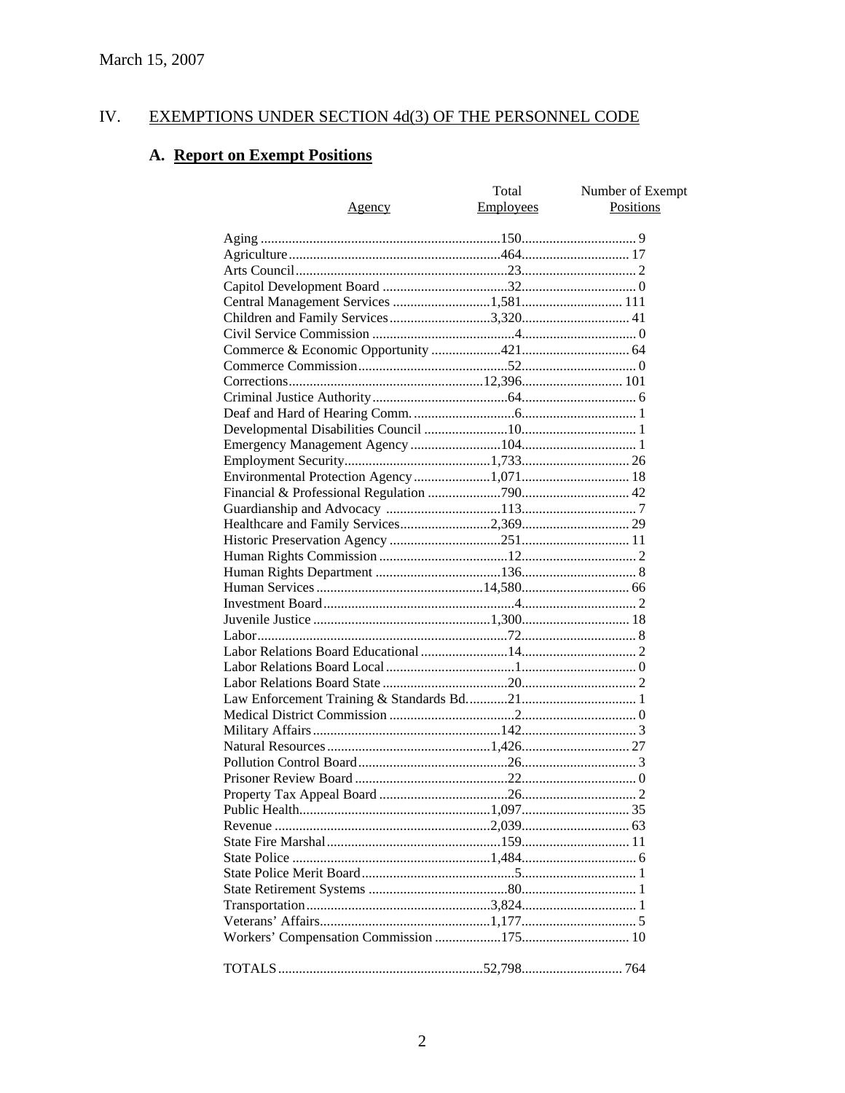#### IV. **EXEMPTIONS UNDER SECTION 4d(3) OF THE PERSONNEL CODE**

# A. Report on Exempt Positions

| Agency | Total<br>Employees | Number of Exempt<br><b>Positions</b> |
|--------|--------------------|--------------------------------------|
|        |                    |                                      |
|        |                    |                                      |
|        |                    |                                      |
|        |                    |                                      |
|        |                    |                                      |
|        |                    |                                      |
|        |                    |                                      |
|        |                    |                                      |
|        |                    |                                      |
|        |                    |                                      |
|        |                    |                                      |
|        |                    |                                      |
|        |                    |                                      |
|        |                    |                                      |
|        |                    |                                      |
|        |                    |                                      |
|        |                    |                                      |
|        |                    |                                      |
|        |                    |                                      |
|        |                    |                                      |
|        |                    |                                      |
|        |                    |                                      |
|        |                    |                                      |
|        |                    |                                      |
|        |                    |                                      |
|        |                    |                                      |
|        |                    |                                      |
|        |                    |                                      |
|        |                    |                                      |
|        |                    |                                      |
|        |                    |                                      |
|        |                    |                                      |
|        |                    |                                      |
|        |                    |                                      |
|        |                    |                                      |
|        |                    |                                      |
|        |                    |                                      |
|        |                    |                                      |
|        |                    |                                      |
|        |                    |                                      |
|        |                    |                                      |
|        |                    |                                      |
|        |                    |                                      |
|        |                    |                                      |
|        |                    |                                      |
|        |                    |                                      |
|        |                    |                                      |
|        |                    |                                      |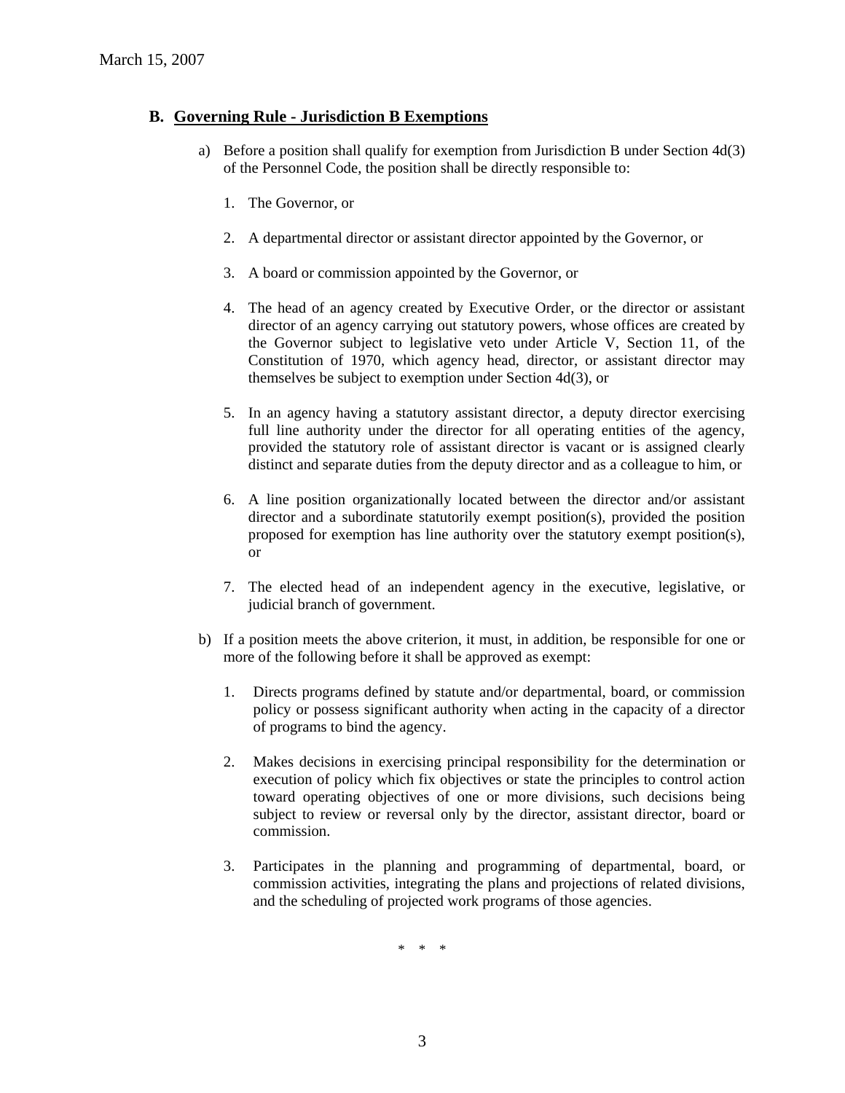#### **B. Governing Rule - Jurisdiction B Exemptions**

- a) Before a position shall qualify for exemption from Jurisdiction B under Section 4d(3) of the Personnel Code, the position shall be directly responsible to:
	- 1. The Governor, or
	- 2. A departmental director or assistant director appointed by the Governor, or
	- 3. A board or commission appointed by the Governor, or
	- 4. The head of an agency created by Executive Order, or the director or assistant director of an agency carrying out statutory powers, whose offices are created by the Governor subject to legislative veto under Article V, Section 11, of the Constitution of 1970, which agency head, director, or assistant director may themselves be subject to exemption under Section 4d(3), or
	- 5. In an agency having a statutory assistant director, a deputy director exercising full line authority under the director for all operating entities of the agency, provided the statutory role of assistant director is vacant or is assigned clearly distinct and separate duties from the deputy director and as a colleague to him, or
	- 6. A line position organizationally located between the director and/or assistant director and a subordinate statutorily exempt position(s), provided the position proposed for exemption has line authority over the statutory exempt position(s), or
	- 7. The elected head of an independent agency in the executive, legislative, or judicial branch of government.
- b) If a position meets the above criterion, it must, in addition, be responsible for one or more of the following before it shall be approved as exempt:
	- 1. Directs programs defined by statute and/or departmental, board, or commission policy or possess significant authority when acting in the capacity of a director of programs to bind the agency.
	- 2. Makes decisions in exercising principal responsibility for the determination or execution of policy which fix objectives or state the principles to control action toward operating objectives of one or more divisions, such decisions being subject to review or reversal only by the director, assistant director, board or commission.
	- 3. Participates in the planning and programming of departmental, board, or commission activities, integrating the plans and projections of related divisions, and the scheduling of projected work programs of those agencies.

\* \* \*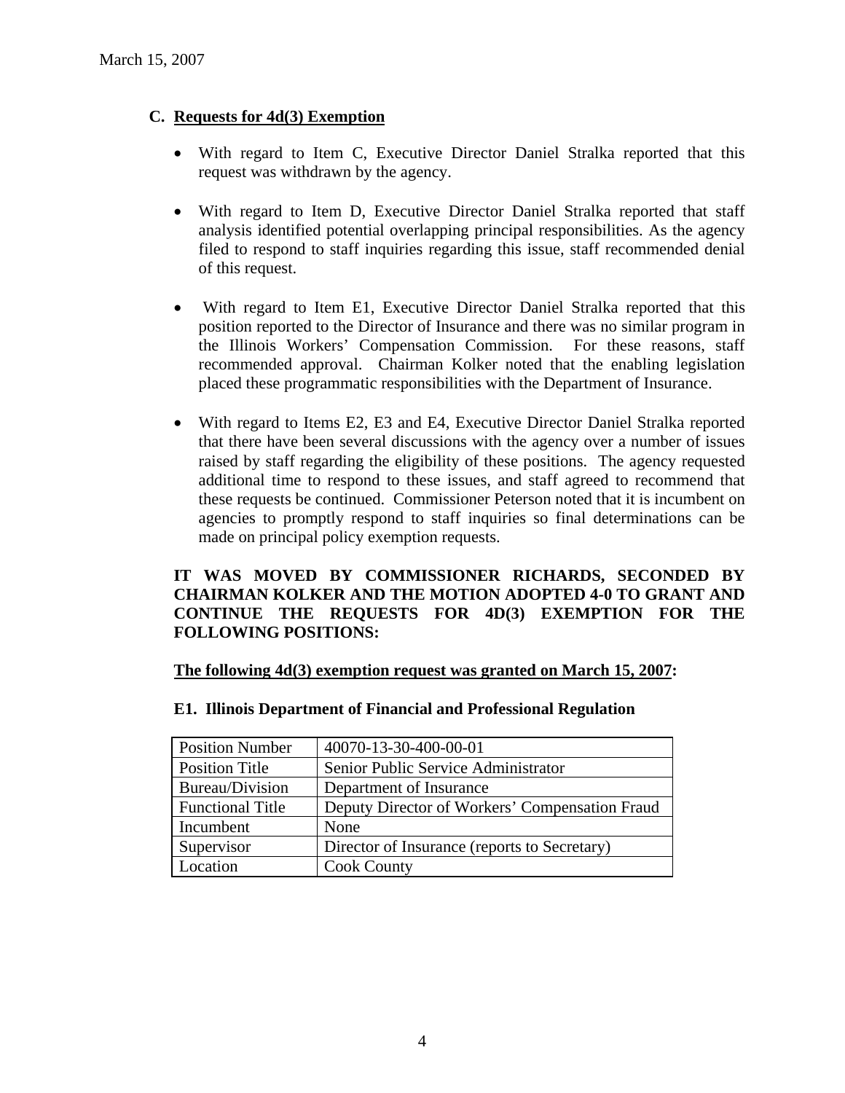### **C. Requests for 4d(3) Exemption**

- With regard to Item C, Executive Director Daniel Stralka reported that this request was withdrawn by the agency.
- With regard to Item D, Executive Director Daniel Stralka reported that staff analysis identified potential overlapping principal responsibilities. As the agency filed to respond to staff inquiries regarding this issue, staff recommended denial of this request.
- With regard to Item E1, Executive Director Daniel Stralka reported that this position reported to the Director of Insurance and there was no similar program in the Illinois Workers' Compensation Commission. For these reasons, staff recommended approval. Chairman Kolker noted that the enabling legislation placed these programmatic responsibilities with the Department of Insurance.
- With regard to Items E2, E3 and E4, Executive Director Daniel Stralka reported that there have been several discussions with the agency over a number of issues raised by staff regarding the eligibility of these positions. The agency requested additional time to respond to these issues, and staff agreed to recommend that these requests be continued. Commissioner Peterson noted that it is incumbent on agencies to promptly respond to staff inquiries so final determinations can be made on principal policy exemption requests.

### **IT WAS MOVED BY COMMISSIONER RICHARDS, SECONDED BY CHAIRMAN KOLKER AND THE MOTION ADOPTED 4-0 TO GRANT AND CONTINUE THE REQUESTS FOR 4D(3) EXEMPTION FOR THE FOLLOWING POSITIONS:**

#### **The following 4d(3) exemption request was granted on March 15, 2007:**

| <b>Position Number</b>  | 40070-13-30-400-00-01                          |
|-------------------------|------------------------------------------------|
| <b>Position Title</b>   | Senior Public Service Administrator            |
| Bureau/Division         | Department of Insurance                        |
| <b>Functional Title</b> | Deputy Director of Workers' Compensation Fraud |
| Incumbent               | None                                           |
| Supervisor              | Director of Insurance (reports to Secretary)   |
| Location                | <b>Cook County</b>                             |

#### **E1. Illinois Department of Financial and Professional Regulation**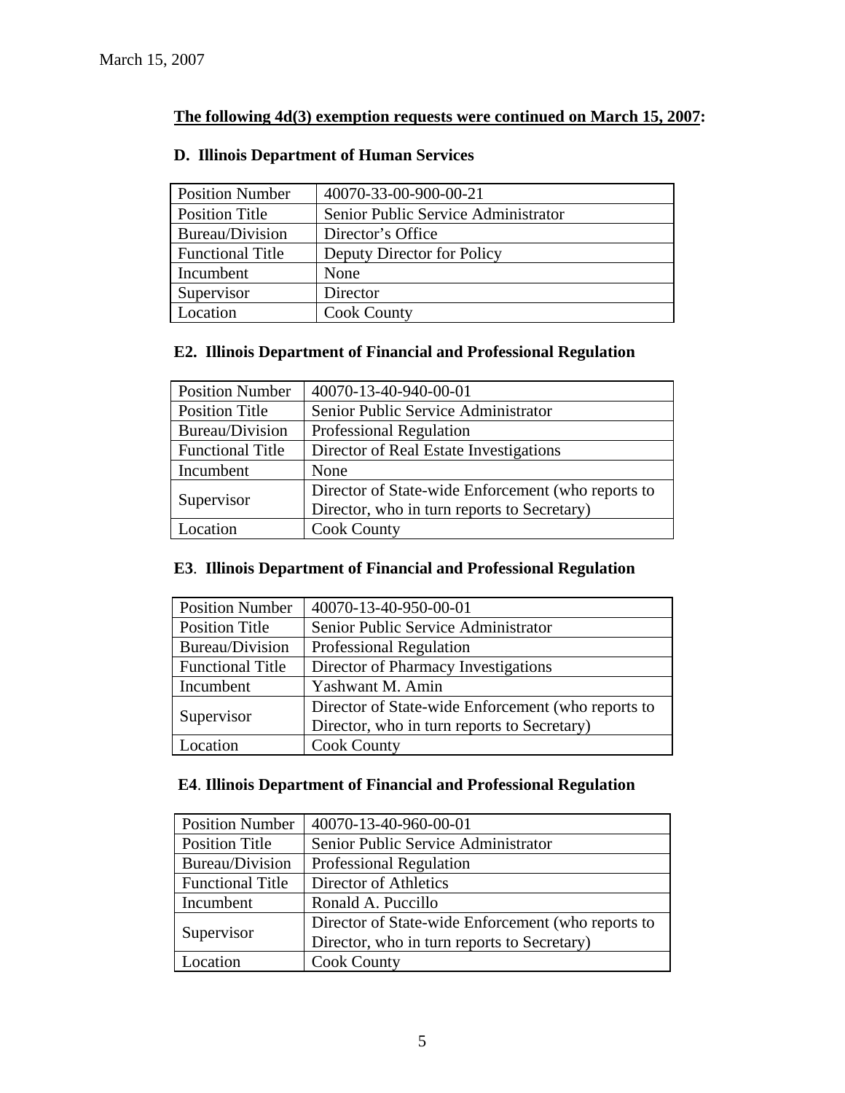## **The following 4d(3) exemption requests were continued on March 15, 2007:**

| <b>Position Number</b>  | 40070-33-00-900-00-21               |
|-------------------------|-------------------------------------|
| <b>Position Title</b>   | Senior Public Service Administrator |
| Bureau/Division         | Director's Office                   |
| <b>Functional Title</b> | Deputy Director for Policy          |
| Incumbent               | None                                |
| Supervisor              | Director                            |
| Location                | <b>Cook County</b>                  |

## **D. Illinois Department of Human Services**

### **E2. Illinois Department of Financial and Professional Regulation**

| <b>Position Number</b>  | 40070-13-40-940-00-01                              |
|-------------------------|----------------------------------------------------|
| <b>Position Title</b>   | Senior Public Service Administrator                |
| Bureau/Division         | <b>Professional Regulation</b>                     |
| <b>Functional Title</b> | Director of Real Estate Investigations             |
| Incumbent               | None                                               |
|                         | Director of State-wide Enforcement (who reports to |
| Supervisor              | Director, who in turn reports to Secretary)        |
| Location                | <b>Cook County</b>                                 |

## **E3**. **Illinois Department of Financial and Professional Regulation**

| <b>Position Number</b>  | 40070-13-40-950-00-01                              |
|-------------------------|----------------------------------------------------|
| <b>Position Title</b>   | Senior Public Service Administrator                |
| Bureau/Division         | Professional Regulation                            |
| <b>Functional Title</b> | Director of Pharmacy Investigations                |
| Incumbent               | Yashwant M. Amin                                   |
|                         | Director of State-wide Enforcement (who reports to |
| Supervisor              | Director, who in turn reports to Secretary)        |
| Location                | <b>Cook County</b>                                 |

### **E4**. **Illinois Department of Financial and Professional Regulation**

| <b>Position Number</b>  | 40070-13-40-960-00-01                              |
|-------------------------|----------------------------------------------------|
| <b>Position Title</b>   | Senior Public Service Administrator                |
| Bureau/Division         | Professional Regulation                            |
| <b>Functional Title</b> | Director of Athletics                              |
| Incumbent               | Ronald A. Puccillo                                 |
| Supervisor              | Director of State-wide Enforcement (who reports to |
|                         | Director, who in turn reports to Secretary)        |
| Location                | <b>Cook County</b>                                 |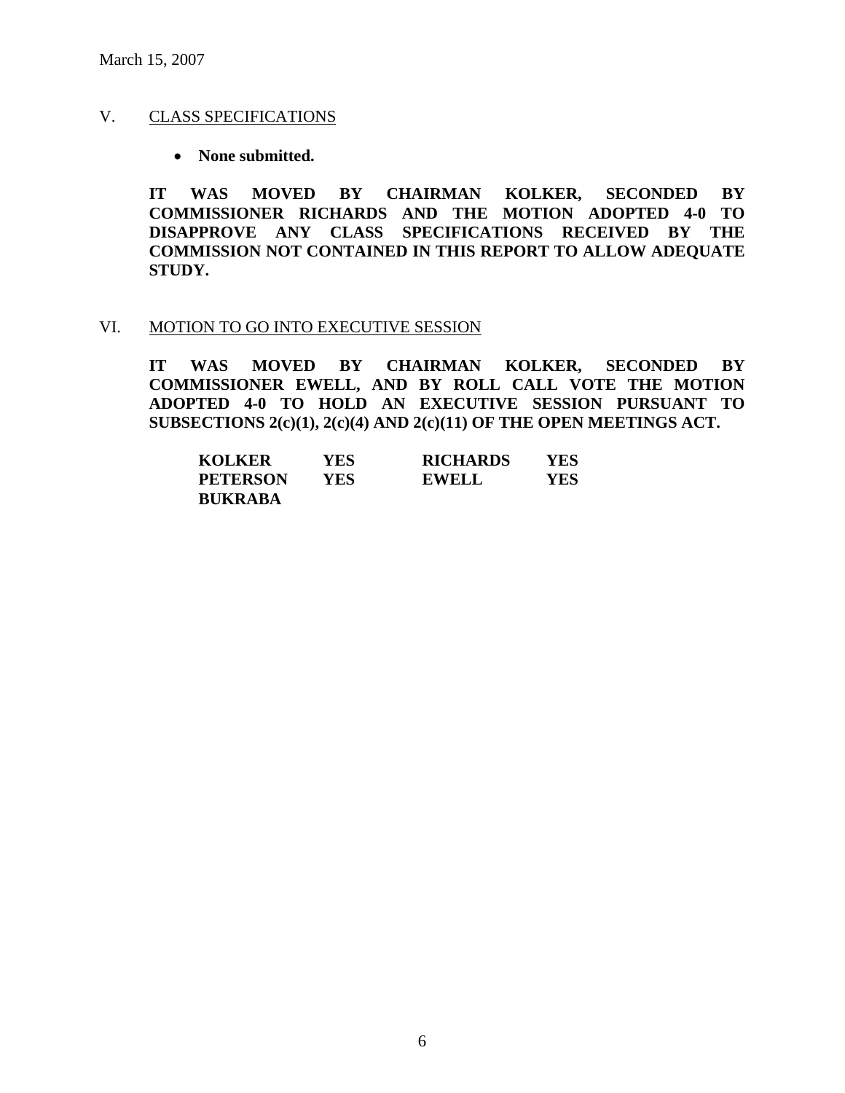### V. CLASS SPECIFICATIONS

• **None submitted.** 

**IT WAS MOVED BY CHAIRMAN KOLKER, SECONDED BY COMMISSIONER RICHARDS AND THE MOTION ADOPTED 4-0 TO DISAPPROVE ANY CLASS SPECIFICATIONS RECEIVED BY THE COMMISSION NOT CONTAINED IN THIS REPORT TO ALLOW ADEQUATE STUDY.** 

#### VI. MOTION TO GO INTO EXECUTIVE SESSION

**IT WAS MOVED BY CHAIRMAN KOLKER, SECONDED BY COMMISSIONER EWELL, AND BY ROLL CALL VOTE THE MOTION ADOPTED 4-0 TO HOLD AN EXECUTIVE SESSION PURSUANT TO SUBSECTIONS 2(c)(1), 2(c)(4) AND 2(c)(11) OF THE OPEN MEETINGS ACT.** 

| <b>KOLKER</b>   | YES | <b>RICHARDS</b> | YES |
|-----------------|-----|-----------------|-----|
| <b>PETERSON</b> | YES | <b>EWELL</b>    | YES |
| <b>BUKRABA</b>  |     |                 |     |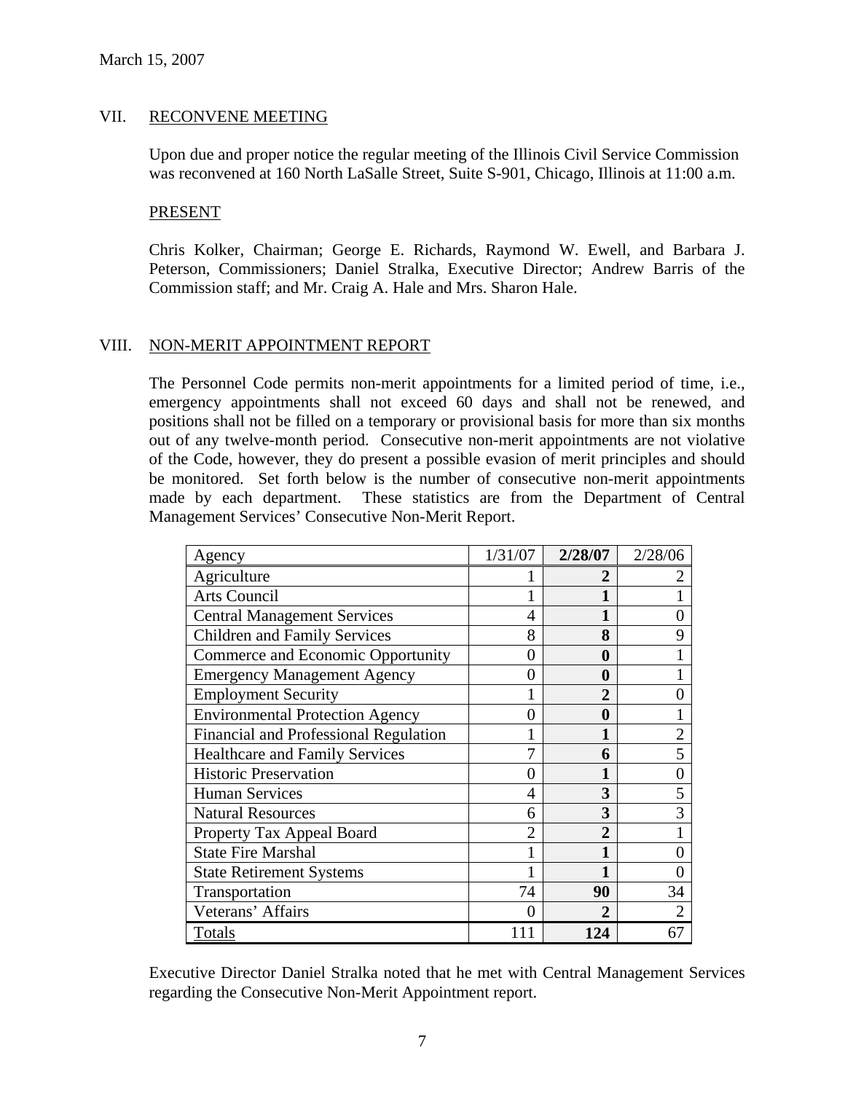#### VII. RECONVENE MEETING

Upon due and proper notice the regular meeting of the Illinois Civil Service Commission was reconvened at 160 North LaSalle Street, Suite S-901, Chicago, Illinois at 11:00 a.m.

#### PRESENT

Chris Kolker, Chairman; George E. Richards, Raymond W. Ewell, and Barbara J. Peterson, Commissioners; Daniel Stralka, Executive Director; Andrew Barris of the Commission staff; and Mr. Craig A. Hale and Mrs. Sharon Hale.

### VIII. NON-MERIT APPOINTMENT REPORT

The Personnel Code permits non-merit appointments for a limited period of time, i.e., emergency appointments shall not exceed 60 days and shall not be renewed, and positions shall not be filled on a temporary or provisional basis for more than six months out of any twelve-month period. Consecutive non-merit appointments are not violative of the Code, however, they do present a possible evasion of merit principles and should be monitored. Set forth below is the number of consecutive non-merit appointments made by each department. These statistics are from the Department of Central Management Services' Consecutive Non-Merit Report.

| Agency                                 | 1/31/07 | 2/28/07        | 2/28/06        |
|----------------------------------------|---------|----------------|----------------|
| Agriculture                            |         | 2              | 2              |
| Arts Council                           |         |                |                |
| <b>Central Management Services</b>     | 4       |                |                |
| <b>Children and Family Services</b>    | 8       | 8              | 9              |
| Commerce and Economic Opportunity      | 0       | 0              |                |
| <b>Emergency Management Agency</b>     | 0       | 0              |                |
| <b>Employment Security</b>             |         | $\overline{2}$ | 0              |
| <b>Environmental Protection Agency</b> | 0       | 0              |                |
| Financial and Professional Regulation  |         | 1              | $\overline{2}$ |
| <b>Healthcare and Family Services</b>  |         | 6              | 5              |
| <b>Historic Preservation</b>           |         |                |                |
| <b>Human Services</b>                  | 4       | 3              | 5              |
| <b>Natural Resources</b>               | 6       | 3              | 3              |
| Property Tax Appeal Board              | 2       | $\overline{2}$ |                |
| <b>State Fire Marshal</b>              |         |                | ∩              |
| <b>State Retirement Systems</b>        |         |                |                |
| Transportation                         | 74      | 90             | 34             |
| Veterans' Affairs                      |         | 2              |                |
| Totals                                 | 111     | 124            | 67             |

Executive Director Daniel Stralka noted that he met with Central Management Services regarding the Consecutive Non-Merit Appointment report.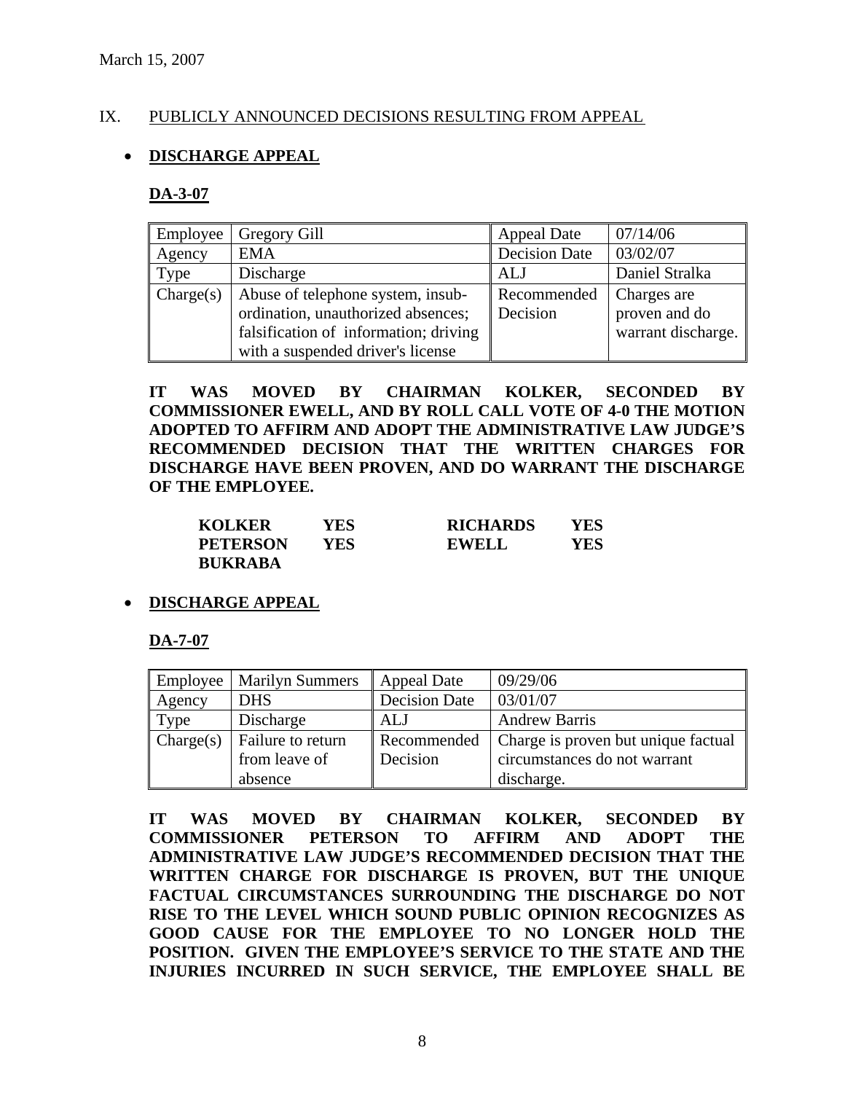### IX. PUBLICLY ANNOUNCED DECISIONS RESULTING FROM APPEAL

### • **DISCHARGE APPEAL**

#### **DA-3-07**

| Employee  | Gregory Gill                          | <b>Appeal Date</b>   | 07/14/06           |
|-----------|---------------------------------------|----------------------|--------------------|
| Agency    | <b>EMA</b>                            | <b>Decision Date</b> | 03/02/07           |
| Type      | Discharge                             | <b>ALJ</b>           | Daniel Stralka     |
| Change(s) | Abuse of telephone system, insub-     | Recommended          | Charges are        |
|           | ordination, unauthorized absences;    | Decision             | proven and do      |
|           | falsification of information; driving |                      | warrant discharge. |
|           | with a suspended driver's license     |                      |                    |

**IT WAS MOVED BY CHAIRMAN KOLKER, SECONDED BY COMMISSIONER EWELL, AND BY ROLL CALL VOTE OF 4-0 THE MOTION ADOPTED TO AFFIRM AND ADOPT THE ADMINISTRATIVE LAW JUDGE'S RECOMMENDED DECISION THAT THE WRITTEN CHARGES FOR DISCHARGE HAVE BEEN PROVEN, AND DO WARRANT THE DISCHARGE OF THE EMPLOYEE.** 

| <b>KOLKER</b>   | YES  | <b>RICHARDS</b> | YES |
|-----------------|------|-----------------|-----|
| <b>PETERSON</b> | YES. | EWELL           | YES |
| <b>BUKRABA</b>  |      |                 |     |

### • **DISCHARGE APPEAL**

#### **DA-7-07**

| Employee  | <b>Marilyn Summers</b> | <b>Appeal Date</b>   | 09/29/06                            |
|-----------|------------------------|----------------------|-------------------------------------|
| Agency    | <b>DHS</b>             | <b>Decision Date</b> | 03/01/07                            |
| Type      | Discharge              | <b>ALJ</b>           | <b>Andrew Barris</b>                |
| Change(s) | Failure to return      | Recommended          | Charge is proven but unique factual |
|           | from leave of          | Decision             | circumstances do not warrant        |
|           | absence                |                      | discharge.                          |

**IT WAS MOVED BY CHAIRMAN KOLKER, SECONDED BY COMMISSIONER PETERSON TO AFFIRM AND ADOPT THE ADMINISTRATIVE LAW JUDGE'S RECOMMENDED DECISION THAT THE WRITTEN CHARGE FOR DISCHARGE IS PROVEN, BUT THE UNIQUE FACTUAL CIRCUMSTANCES SURROUNDING THE DISCHARGE DO NOT RISE TO THE LEVEL WHICH SOUND PUBLIC OPINION RECOGNIZES AS GOOD CAUSE FOR THE EMPLOYEE TO NO LONGER HOLD THE POSITION. GIVEN THE EMPLOYEE'S SERVICE TO THE STATE AND THE INJURIES INCURRED IN SUCH SERVICE, THE EMPLOYEE SHALL BE**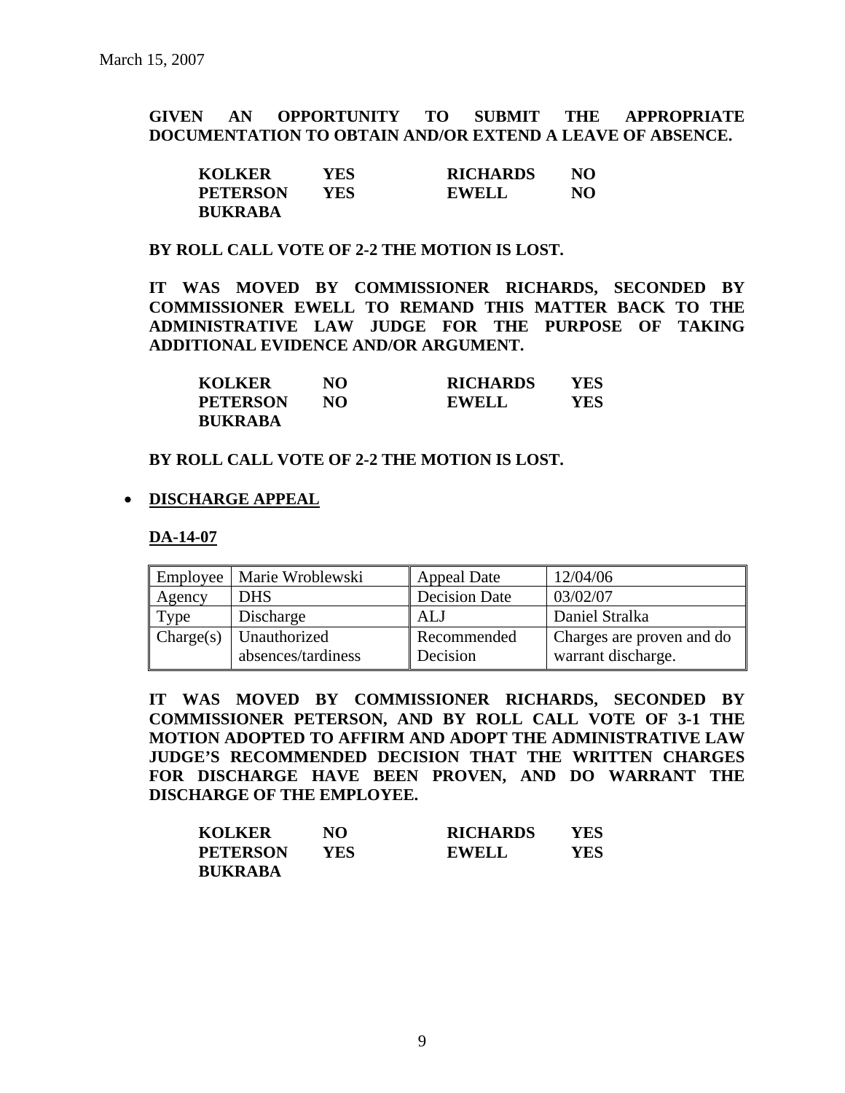**GIVEN AN OPPORTUNITY TO SUBMIT THE APPROPRIATE DOCUMENTATION TO OBTAIN AND/OR EXTEND A LEAVE OF ABSENCE.** 

| <b>KOLKER</b>   | YES | <b>RICHARDS</b> | NO |
|-----------------|-----|-----------------|----|
| <b>PETERSON</b> | YES | <b>EWELL</b>    | NO |
| <b>BUKRABA</b>  |     |                 |    |

#### **BY ROLL CALL VOTE OF 2-2 THE MOTION IS LOST.**

**IT WAS MOVED BY COMMISSIONER RICHARDS, SECONDED BY COMMISSIONER EWELL TO REMAND THIS MATTER BACK TO THE ADMINISTRATIVE LAW JUDGE FOR THE PURPOSE OF TAKING ADDITIONAL EVIDENCE AND/OR ARGUMENT.** 

| <b>KOLKER</b>   | NO  | <b>RICHARDS</b> | YES |
|-----------------|-----|-----------------|-----|
| <b>PETERSON</b> | NO. | <b>EWELL</b>    | YES |
| <b>BUKRABA</b>  |     |                 |     |

#### **BY ROLL CALL VOTE OF 2-2 THE MOTION IS LOST.**

#### • **DISCHARGE APPEAL**

#### **DA-14-07**

| Employee  | Marie Wroblewski                   | <b>Appeal Date</b>      | 12/04/06                                        |
|-----------|------------------------------------|-------------------------|-------------------------------------------------|
| Agency    | <b>DHS</b>                         | <b>Decision Date</b>    | 03/02/07                                        |
| Type      | Discharge                          | ALJ                     | Daniel Stralka                                  |
| Change(s) | Unauthorized<br>absences/tardiness | Recommended<br>Decision | Charges are proven and do<br>warrant discharge. |

**IT WAS MOVED BY COMMISSIONER RICHARDS, SECONDED BY COMMISSIONER PETERSON, AND BY ROLL CALL VOTE OF 3-1 THE MOTION ADOPTED TO AFFIRM AND ADOPT THE ADMINISTRATIVE LAW JUDGE'S RECOMMENDED DECISION THAT THE WRITTEN CHARGES FOR DISCHARGE HAVE BEEN PROVEN, AND DO WARRANT THE DISCHARGE OF THE EMPLOYEE.** 

| <b>KOLKER</b>   | NO         | <b>RICHARDS</b> | YES |
|-----------------|------------|-----------------|-----|
| <b>PETERSON</b> | <b>YES</b> | <b>EWELL</b>    | YES |
| <b>BUKRABA</b>  |            |                 |     |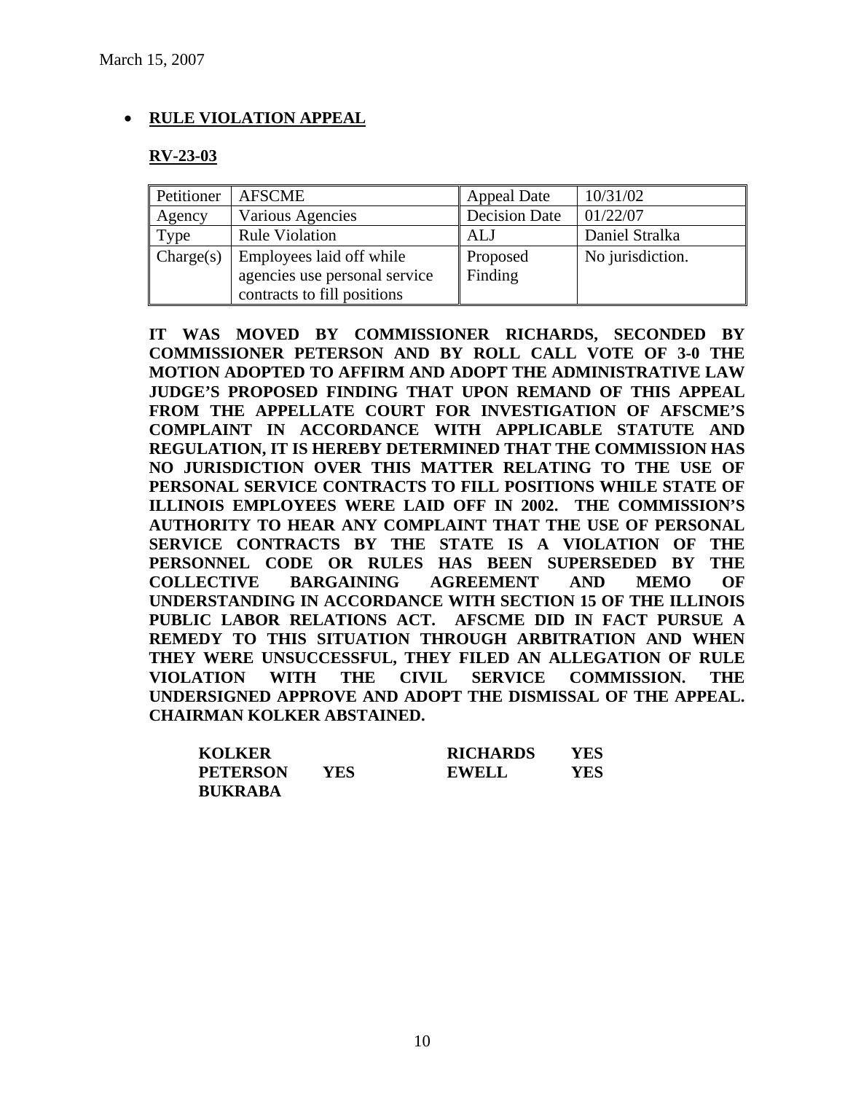### • **RULE VIOLATION APPEAL**

#### **RV-23-03**

| Petitioner | <b>AFSCME</b>                                                                            | <b>Appeal Date</b>   | 10/31/02         |
|------------|------------------------------------------------------------------------------------------|----------------------|------------------|
| Agency     | Various Agencies                                                                         | <b>Decision Date</b> | 01/22/07         |
| Type       | <b>Rule Violation</b>                                                                    | <b>ALJ</b>           | Daniel Stralka   |
| Change(s)  | Employees laid off while<br>agencies use personal service<br>contracts to fill positions | Proposed<br>Finding  | No jurisdiction. |

**IT WAS MOVED BY COMMISSIONER RICHARDS, SECONDED BY COMMISSIONER PETERSON AND BY ROLL CALL VOTE OF 3-0 THE MOTION ADOPTED TO AFFIRM AND ADOPT THE ADMINISTRATIVE LAW JUDGE'S PROPOSED FINDING THAT UPON REMAND OF THIS APPEAL FROM THE APPELLATE COURT FOR INVESTIGATION OF AFSCME'S COMPLAINT IN ACCORDANCE WITH APPLICABLE STATUTE AND REGULATION, IT IS HEREBY DETERMINED THAT THE COMMISSION HAS NO JURISDICTION OVER THIS MATTER RELATING TO THE USE OF PERSONAL SERVICE CONTRACTS TO FILL POSITIONS WHILE STATE OF ILLINOIS EMPLOYEES WERE LAID OFF IN 2002. THE COMMISSION'S AUTHORITY TO HEAR ANY COMPLAINT THAT THE USE OF PERSONAL SERVICE CONTRACTS BY THE STATE IS A VIOLATION OF THE PERSONNEL CODE OR RULES HAS BEEN SUPERSEDED BY THE COLLECTIVE BARGAINING AGREEMENT AND MEMO OF UNDERSTANDING IN ACCORDANCE WITH SECTION 15 OF THE ILLINOIS PUBLIC LABOR RELATIONS ACT. AFSCME DID IN FACT PURSUE A REMEDY TO THIS SITUATION THROUGH ARBITRATION AND WHEN THEY WERE UNSUCCESSFUL, THEY FILED AN ALLEGATION OF RULE VIOLATION WITH THE CIVIL SERVICE COMMISSION. THE UNDERSIGNED APPROVE AND ADOPT THE DISMISSAL OF THE APPEAL. CHAIRMAN KOLKER ABSTAINED.** 

| <b>KOLKER</b>   |     | <b>RICHARDS</b> | YES |
|-----------------|-----|-----------------|-----|
| <b>PETERSON</b> | YES | <b>EWELL</b>    | YES |
| <b>BUKRABA</b>  |     |                 |     |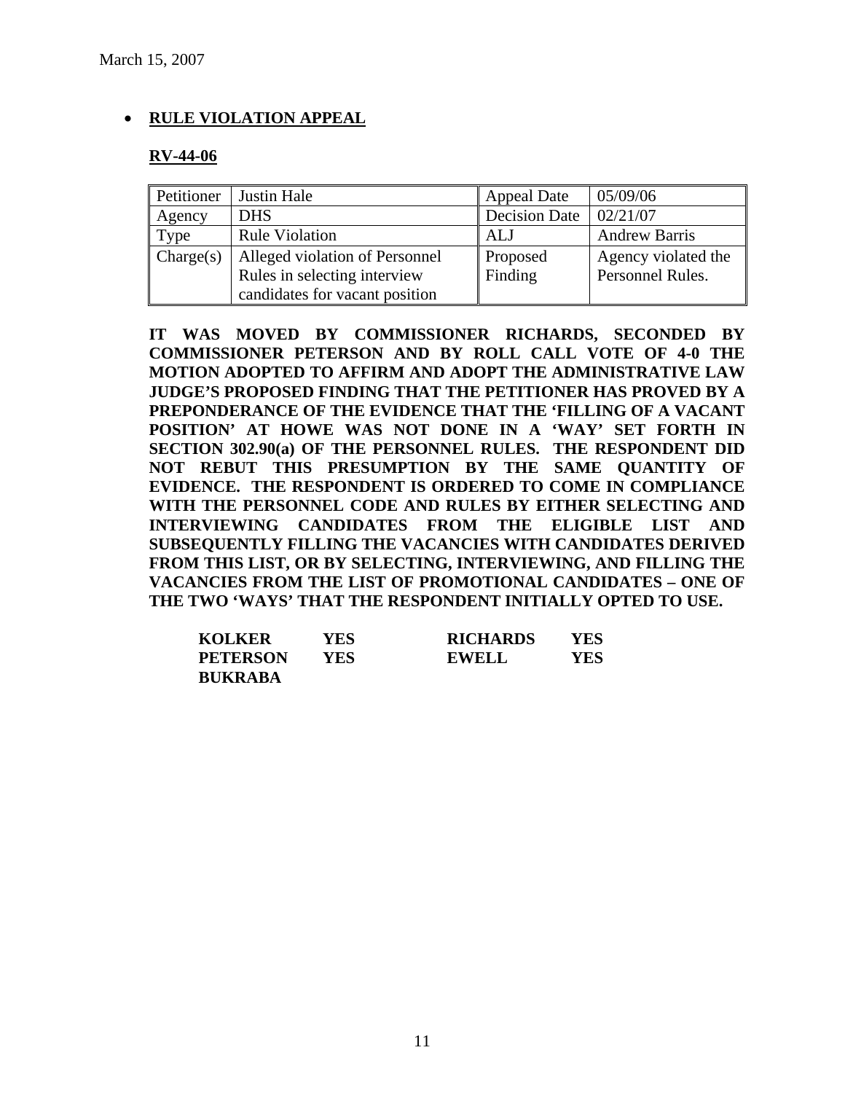## • **RULE VIOLATION APPEAL**

### **RV-44-06**

| Petitioner | Justin Hale                    | <b>Appeal Date</b>   | 05/09/06             |
|------------|--------------------------------|----------------------|----------------------|
| Agency     | <b>DHS</b>                     | <b>Decision Date</b> | 02/21/07             |
| Type       | <b>Rule Violation</b>          | ALJ                  | <b>Andrew Barris</b> |
| Change(s)  | Alleged violation of Personnel | Proposed             | Agency violated the  |
|            | Rules in selecting interview   | Finding              | Personnel Rules.     |
|            | candidates for vacant position |                      |                      |

**IT WAS MOVED BY COMMISSIONER RICHARDS, SECONDED BY COMMISSIONER PETERSON AND BY ROLL CALL VOTE OF 4-0 THE MOTION ADOPTED TO AFFIRM AND ADOPT THE ADMINISTRATIVE LAW JUDGE'S PROPOSED FINDING THAT THE PETITIONER HAS PROVED BY A PREPONDERANCE OF THE EVIDENCE THAT THE 'FILLING OF A VACANT POSITION' AT HOWE WAS NOT DONE IN A 'WAY' SET FORTH IN SECTION 302.90(a) OF THE PERSONNEL RULES. THE RESPONDENT DID NOT REBUT THIS PRESUMPTION BY THE SAME QUANTITY OF EVIDENCE. THE RESPONDENT IS ORDERED TO COME IN COMPLIANCE WITH THE PERSONNEL CODE AND RULES BY EITHER SELECTING AND INTERVIEWING CANDIDATES FROM THE ELIGIBLE LIST AND SUBSEQUENTLY FILLING THE VACANCIES WITH CANDIDATES DERIVED FROM THIS LIST, OR BY SELECTING, INTERVIEWING, AND FILLING THE VACANCIES FROM THE LIST OF PROMOTIONAL CANDIDATES – ONE OF THE TWO 'WAYS' THAT THE RESPONDENT INITIALLY OPTED TO USE.**

| <b>KOLKER</b>   | YES | <b>RICHARDS</b> | YES |
|-----------------|-----|-----------------|-----|
| <b>PETERSON</b> | YES | EWELL           | YES |
| <b>BUKRABA</b>  |     |                 |     |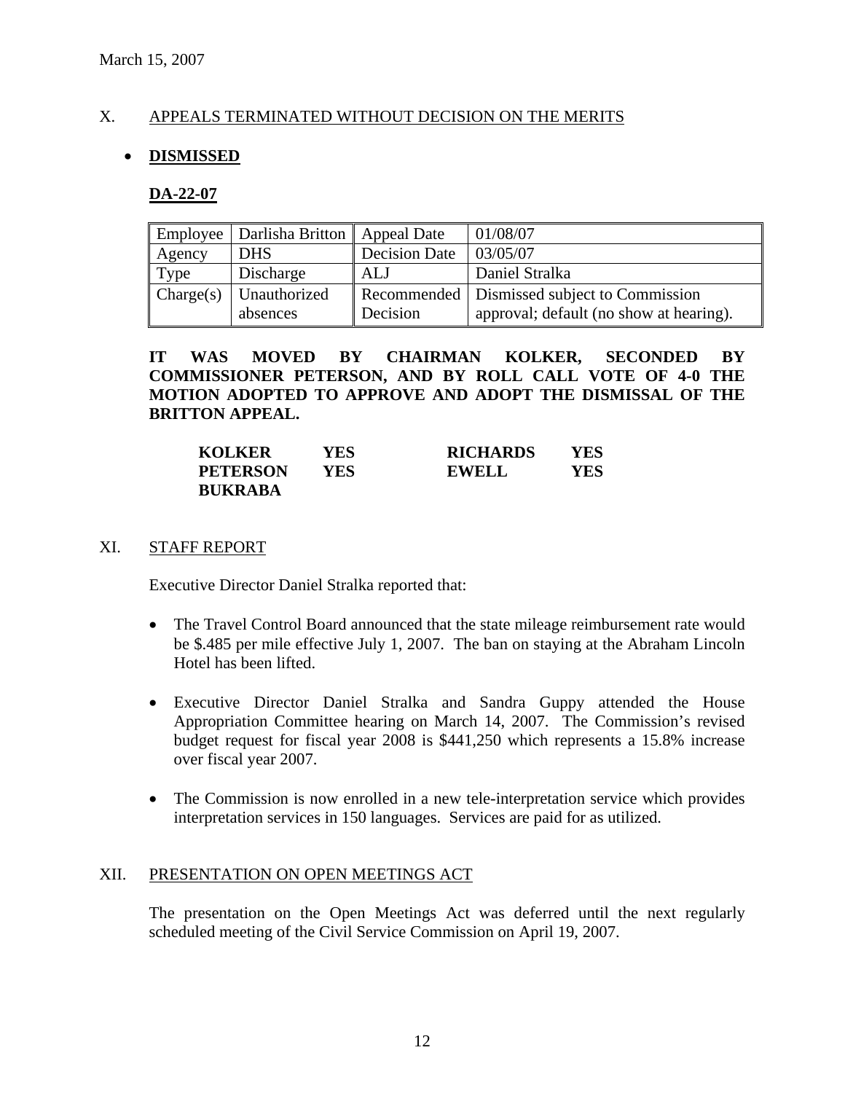### X. APPEALS TERMINATED WITHOUT DECISION ON THE MERITS

### • **DISMISSED**

#### **DA-22-07**

|           | Employee   Darlisha Britton   Appeal Date |                      | 01/08/07                                      |
|-----------|-------------------------------------------|----------------------|-----------------------------------------------|
| Agency    | <b>DHS</b>                                | <b>Decision Date</b> | 03/05/07                                      |
| Type      | Discharge                                 | ALJ                  | Daniel Stralka                                |
| Change(s) | Unauthorized                              |                      | Recommended   Dismissed subject to Commission |
|           | absences                                  | Decision             | approval; default (no show at hearing).       |

**IT WAS MOVED BY CHAIRMAN KOLKER, SECONDED BY COMMISSIONER PETERSON, AND BY ROLL CALL VOTE OF 4-0 THE MOTION ADOPTED TO APPROVE AND ADOPT THE DISMISSAL OF THE BRITTON APPEAL.** 

| <b>KOLKER</b>   | YES | <b>RICHARDS</b> | YES |
|-----------------|-----|-----------------|-----|
| <b>PETERSON</b> | YES | <b>EWELL</b>    | YES |
| <b>BUKRABA</b>  |     |                 |     |

#### XI. STAFF REPORT

Executive Director Daniel Stralka reported that:

- The Travel Control Board announced that the state mileage reimbursement rate would be \$.485 per mile effective July 1, 2007. The ban on staying at the Abraham Lincoln Hotel has been lifted.
- Executive Director Daniel Stralka and Sandra Guppy attended the House Appropriation Committee hearing on March 14, 2007. The Commission's revised budget request for fiscal year 2008 is \$441,250 which represents a 15.8% increase over fiscal year 2007.
- The Commission is now enrolled in a new tele-interpretation service which provides interpretation services in 150 languages. Services are paid for as utilized.

#### XII. PRESENTATION ON OPEN MEETINGS ACT

The presentation on the Open Meetings Act was deferred until the next regularly scheduled meeting of the Civil Service Commission on April 19, 2007.